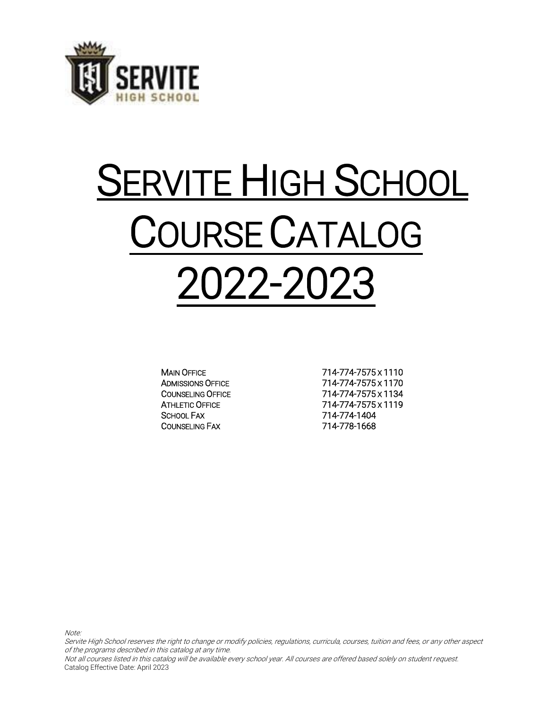

# SERVITE HIGH SCHOOL COURSE CATALOG 2022-2023

SCHOOL FAX 714-774-1404 COUNSELING FAX 714-778-1668

MAIN OFFICE 714-774-7575 x 1110 ADMISSIONS OFFICE 714-774-7575 x 1170 COUNSELING OFFICE 714-774-7575 x 1134 ATHLETIC OFFICE 714-774-7575 x 1119

Note:

Servite High School reserves the right to change or modify policies, regulations, curricula, courses, tuition and fees, or any other aspect of the programs described in this catalog at any time.

Not all courses listed in this catalog will be available every school year. All courses are offered based solely on student request. Catalog Effective Date: April 2023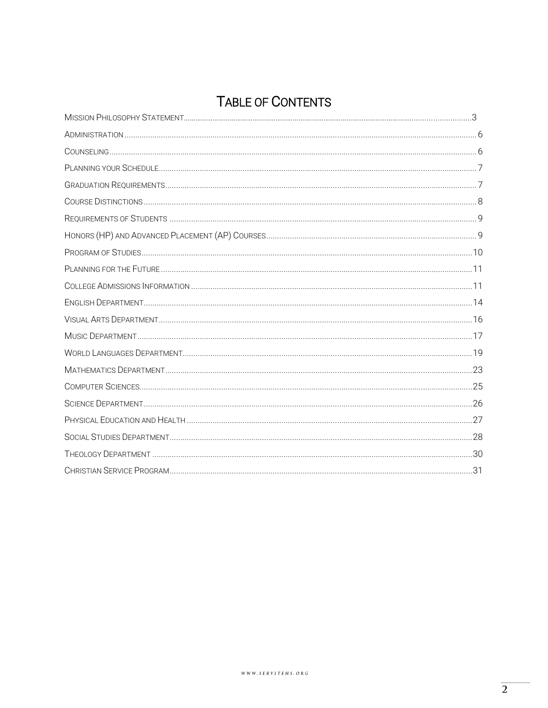## TABLE OF CONTENTS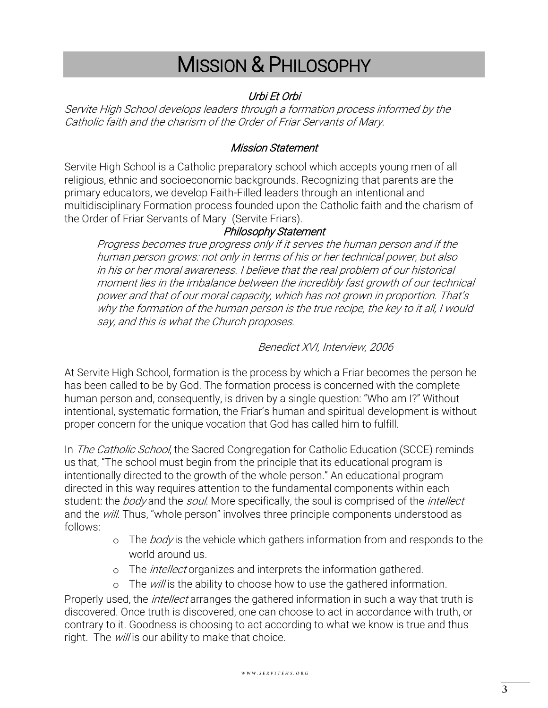## MISSION & PHILOSOPHY

### Urbi Et Orbi

Servite High School develops leaders through a formation process informed by the Catholic faith and the charism of the Order of Friar Servants of Mary.

### Mission Statement

Servite High School is a Catholic preparatory school which accepts young men of all religious, ethnic and socioeconomic backgrounds. Recognizing that parents are the primary educators, we develop Faith-Filled leaders through an intentional and multidisciplinary Formation process founded upon the Catholic faith and the charism of the Order of Friar Servants of Mary (Servite Friars).

### Philosophy Statement

Progress becomes true progress only if it serves the human person and if the human person grows: not only in terms of his or her technical power, but also in his or her moral awareness. I believe that the real problem of our historical moment lies in the imbalance between the incredibly fast growth of our technical power and that of our moral capacity, which has not grown in proportion. That's why the formation of the human person is the true recipe, the key to it all, I would say, and this is what the Church proposes.

### Benedict XVI, Interview, 2006

At Servite High School, formation is the process by which a Friar becomes the person he has been called to be by God. The formation process is concerned with the complete human person and, consequently, is driven by a single question: "Who am I?" Without intentional, systematic formation, the Friar's human and spiritual development is without proper concern for the unique vocation that God has called him to fulfill.

In *The Catholic School*, the Sacred Congregation for Catholic Education (SCCE) reminds us that, "The school must begin from the principle that its educational program is intentionally directed to the growth of the whole person." An educational program directed in this way requires attention to the fundamental components within each student: the body and the soul. More specifically, the soul is comprised of the *intellect* and the will. Thus, "whole person" involves three principle components understood as follows:

- o The *body* is the vehicle which gathers information from and responds to the world around us.
- o The *intellect* organizes and interprets the information gathered.
- $\circ$  The *will* is the ability to choose how to use the gathered information.

Properly used, the *intellect* arranges the gathered information in such a way that truth is discovered. Once truth is discovered, one can choose to act in accordance with truth, or contrary to it. Goodness is choosing to act according to what we know is true and thus right. The will is our ability to make that choice.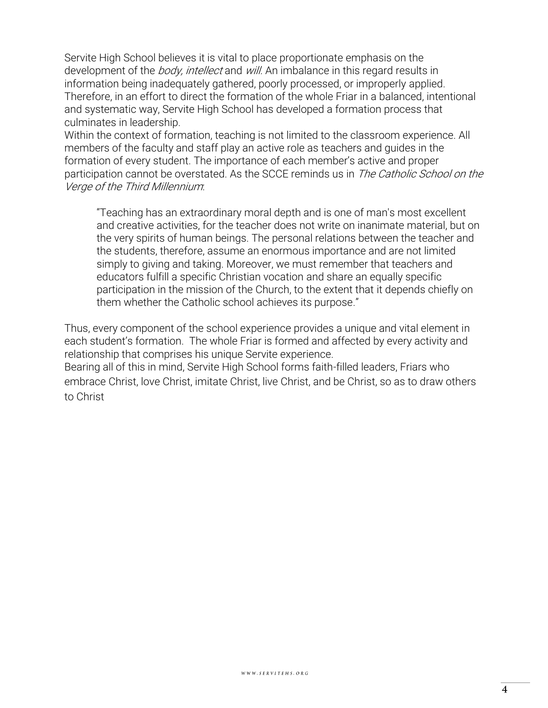Servite High School believes it is vital to place proportionate emphasis on the development of the *body, intellect* and *will*. An imbalance in this regard results in information being inadequately gathered, poorly processed, or improperly applied. Therefore, in an effort to direct the formation of the whole Friar in a balanced, intentional and systematic way, Servite High School has developed a formation process that culminates in leadership.

Within the context of formation, teaching is not limited to the classroom experience. All members of the faculty and staff play an active role as teachers and guides in the formation of every student. The importance of each member's active and proper participation cannot be overstated. As the SCCE reminds us in The Catholic School on the Verge of the Third Millennium:

"Teaching has an extraordinary moral depth and is one of man's most excellent and creative activities, for the teacher does not write on inanimate material, but on the very spirits of human beings. The personal relations between the teacher and the students, therefore, assume an enormous importance and are not limited simply to giving and taking. Moreover, we must remember that teachers and educators fulfill a specific Christian vocation and share an equally specific participation in the mission of the Church, to the extent that it depends chiefly on them whether the Catholic school achieves its purpose."

Thus, every component of the school experience provides a unique and vital element in each student's formation. The whole Friar is formed and affected by every activity and relationship that comprises his unique Servite experience.

Bearing all of this in mind, Servite High School forms faith-filled leaders, Friars who embrace Christ, love Christ, imitate Christ, live Christ, and be Christ, so as to draw others to Christ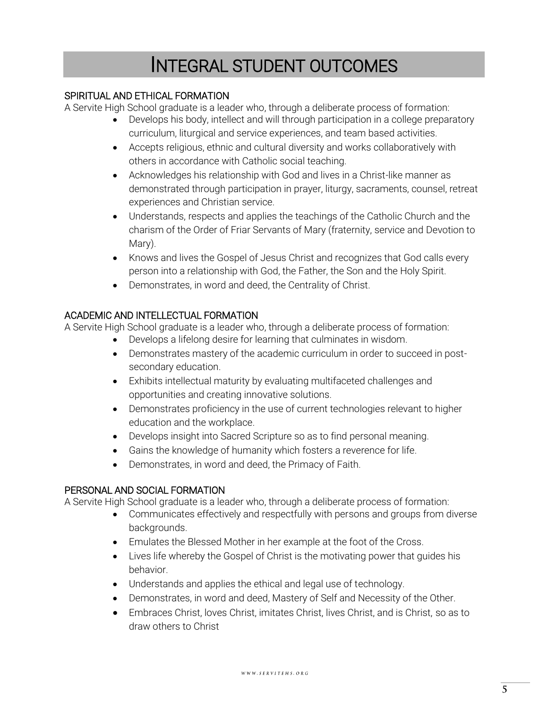## INTEGRAL STUDENT OUTCOMES

### SPIRITUAL AND ETHICAL FORMATION

A Servite High School graduate is a leader who, through a deliberate process of formation:

- Develops his body, intellect and will through participation in a college preparatory curriculum, liturgical and service experiences, and team based activities.
- Accepts religious, ethnic and cultural diversity and works collaboratively with others in accordance with Catholic social teaching.
- Acknowledges his relationship with God and lives in a Christ-like manner as demonstrated through participation in prayer, liturgy, sacraments, counsel, retreat experiences and Christian service.
- Understands, respects and applies the teachings of the Catholic Church and the charism of the Order of Friar Servants of Mary (fraternity, service and Devotion to Mary).
- Knows and lives the Gospel of Jesus Christ and recognizes that God calls every person into a relationship with God, the Father, the Son and the Holy Spirit.
- Demonstrates, in word and deed, the Centrality of Christ.

### ACADEMIC AND INTELLECTUAL FORMATION

A Servite High School graduate is a leader who, through a deliberate process of formation:

- Develops a lifelong desire for learning that culminates in wisdom.
- Demonstrates mastery of the academic curriculum in order to succeed in postsecondary education.
- Exhibits intellectual maturity by evaluating multifaceted challenges and opportunities and creating innovative solutions.
- Demonstrates proficiency in the use of current technologies relevant to higher education and the workplace.
- Develops insight into Sacred Scripture so as to find personal meaning.
- Gains the knowledge of humanity which fosters a reverence for life.
- Demonstrates, in word and deed, the Primacy of Faith.

### PERSONAL AND SOCIAL FORMATION

A Servite High School graduate is a leader who, through a deliberate process of formation:

- Communicates effectively and respectfully with persons and groups from diverse backgrounds.
- Emulates the Blessed Mother in her example at the foot of the Cross.
- Lives life whereby the Gospel of Christ is the motivating power that guides his behavior.
- Understands and applies the ethical and legal use of technology.
- Demonstrates, in word and deed, Mastery of Self and Necessity of the Other.
- Embraces Christ, loves Christ, imitates Christ, lives Christ, and is Christ, so as to draw others to Christ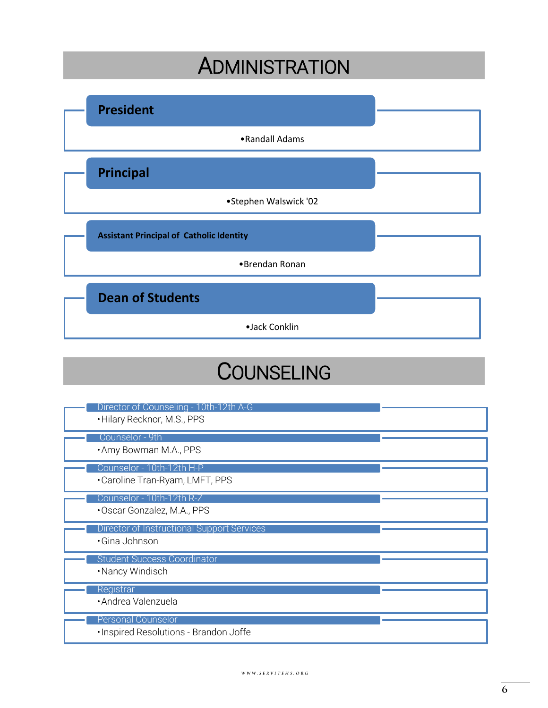## **ADMINISTRATION**

<span id="page-5-0"></span>

| <b>President</b>                                |  |
|-------------------------------------------------|--|
| •Randall Adams                                  |  |
| <b>Principal</b>                                |  |
| •Stephen Walswick '02                           |  |
| <b>Assistant Principal of Catholic Identity</b> |  |
| •Brendan Ronan                                  |  |
| <b>Dean of Students</b>                         |  |
| ·Jack Conklin                                   |  |

## **COUNSELING**

<span id="page-5-1"></span>

| Director of Counseling - 10th-12th A-G<br>. Hilary Recknor, M.S., PPS |  |
|-----------------------------------------------------------------------|--|
| Counselor - 9th<br>. Amy Bowman M.A., PPS                             |  |
| Counselor - 10th-12th H-P<br>•Caroline Tran-Ryam, LMFT, PPS           |  |
| Counselor - 10th-12th R-Z<br>•Oscar Gonzalez, M.A., PPS               |  |
|                                                                       |  |
| <b>Director of Instructional Support Services</b><br>· Gina Johnson   |  |
| <b>Student Success Coordinator</b><br>•Nancy Windisch                 |  |
| Registrar<br>· Andrea Valenzuela                                      |  |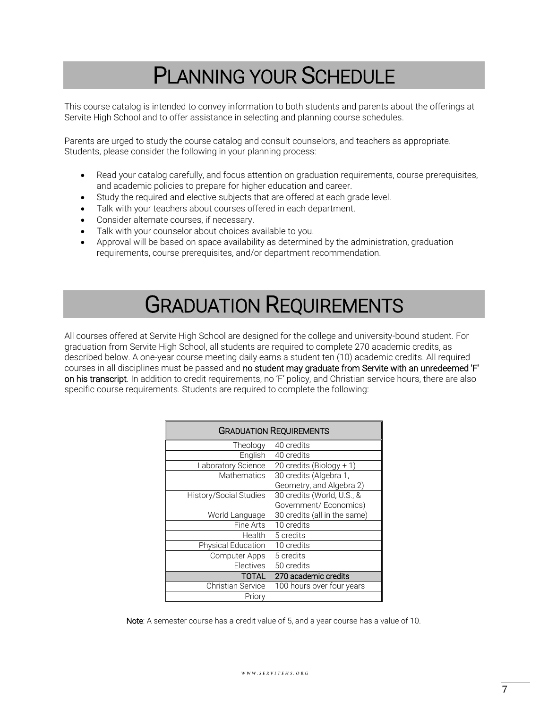## PLANNING YOUR SCHEDULE

<span id="page-6-0"></span>This course catalog is intended to convey information to both students and parents about the offerings at Servite High School and to offer assistance in selecting and planning course schedules.

Parents are urged to study the course catalog and consult counselors, and teachers as appropriate. Students, please consider the following in your planning process:

- Read your catalog carefully, and focus attention on graduation requirements, course prerequisites, and academic policies to prepare for higher education and career.
- Study the required and elective subjects that are offered at each grade level.
- Talk with your teachers about courses offered in each department.
- Consider alternate courses, if necessary.
- Talk with your counselor about choices available to you.
- Approval will be based on space availability as determined by the administration, graduation requirements, course prerequisites, and/or department recommendation.

## GRADUATION REQUIREMENTS

<span id="page-6-1"></span>All courses offered at Servite High School are designed for the college and university-bound student. For graduation from Servite High School, all students are required to complete 270 academic credits, as described below. A one-year course meeting daily earns a student ten (10) academic credits. All required courses in all disciplines must be passed and no student may graduate from Servite with an unredeemed 'F' on his transcript. In addition to credit requirements, no 'F' policy, and Christian service hours, there are also specific course requirements. Students are required to complete the following:

|                           | <b>GRADUATION REQUIREMENTS</b> |
|---------------------------|--------------------------------|
| Theology                  | 40 credits                     |
| English                   | 40 credits                     |
| Laboratory Science        | 20 credits (Biology + 1)       |
| Mathematics               | 30 credits (Algebra 1,         |
|                           | Geometry, and Algebra 2)       |
| History/Social Studies    | 30 credits (World, U.S., &     |
|                           | Government/ Economics)         |
| World Language            | 30 credits (all in the same)   |
| Fine Arts                 | 10 credits                     |
| Health                    | 5 credits                      |
| <b>Physical Education</b> | 10 credits                     |
| <b>Computer Apps</b>      | 5 credits                      |
| Electives                 | 50 credits                     |
| <b>TOTAL</b>              | 270 academic credits           |
| <b>Christian Service</b>  | 100 hours over four years      |
| Priory                    |                                |

Note: A semester course has a credit value of 5, and a year course has a value of 10.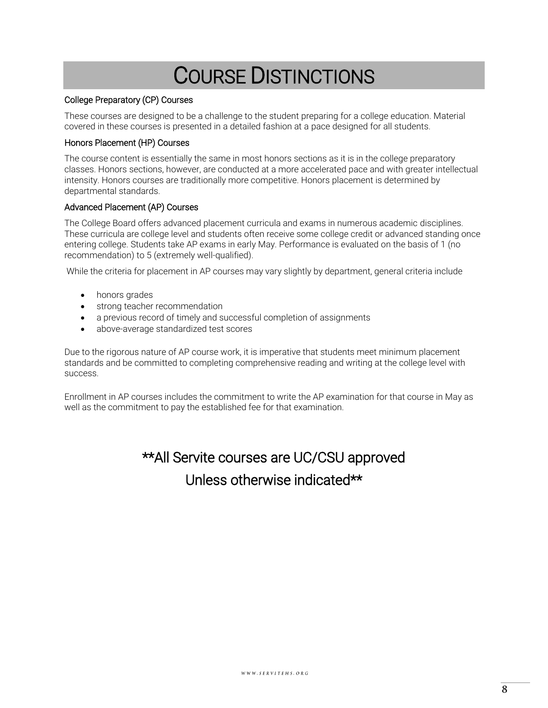## COURSE DISTINCTIONS

### <span id="page-7-0"></span>College Preparatory (CP) Courses

These courses are designed to be a challenge to the student preparing for a college education. Material covered in these courses is presented in a detailed fashion at a pace designed for all students.

#### Honors Placement (HP) Courses

The course content is essentially the same in most honors sections as it is in the college preparatory classes. Honors sections, however, are conducted at a more accelerated pace and with greater intellectual intensity. Honors courses are traditionally more competitive. Honors placement is determined by departmental standards.

#### Advanced Placement (AP) Courses

The College Board offers advanced placement curricula and exams in numerous academic disciplines. These curricula are college level and students often receive some college credit or advanced standing once entering college. Students take AP exams in early May. Performance is evaluated on the basis of 1 (no recommendation) to 5 (extremely well-qualified).

While the criteria for placement in AP courses may vary slightly by department, general criteria include

- honors grades
- strong teacher recommendation
- a previous record of timely and successful completion of assignments
- above-average standardized test scores

Due to the rigorous nature of AP course work, it is imperative that students meet minimum placement standards and be committed to completing comprehensive reading and writing at the college level with success.

Enrollment in AP courses includes the commitment to write the AP examination for that course in May as well as the commitment to pay the established fee for that examination.

## \*\*All Servite courses are UC/CSU approved Unless otherwise indicated\*\*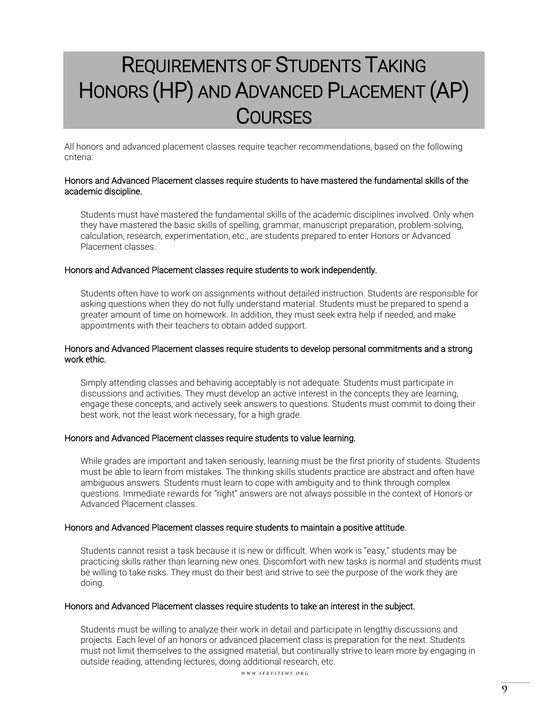## <span id="page-8-1"></span><span id="page-8-0"></span>REQUIREMENTS OF STUDENTS TAKING HONORS (HP) AND ADVANCED PLACEMENT (AP) **COURSES**

All honors and advanced placement classes require teacher recommendations, based on the following criteria:

#### Honors and Advanced Placement classes require students to have mastered the fundamental skills of the academic discipline.

Students must have mastered the fundamental skills of the academic disciplines involved. Only when they have mastered the basic skills of spelling, grammar, manuscript preparation, problem-solving, calculation, research, experimentation, etc., are students prepared to enter Honors or Advanced Placement classes.

#### Honors and Advanced Placement classes require students to work independently.

Students often have to work on assignments without detailed instruction. Students are responsible for asking questions when they do not fully understand material. Students must be prepared to spend a greater amount of time on homework. In addition, they must seek extra help if needed, and make appointments with their teachers to obtain added support.

### Honors and Advanced Placement classes require students to develop personal commitments and a strong work ethic.

Simply attending classes and behaving acceptably is not adequate. Students must participate in discussions and activities. They must develop an active interest in the concepts they are learning, engage these concepts, and actively seek answers to questions. Students must commit to doing their best work, not the least work necessary, for a high grade.

### Honors and Advanced Placement classes require students to value learning.

While grades are important and taken seriously, learning must be the first priority of students. Students must be able to learn from mistakes. The thinking skills students practice are abstract and often have ambiguous answers. Students must learn to cope with ambiguity and to think through complex questions. Immediate rewards for "right" answers are not always possible in the context of Honors or Advanced Placement classes.

### Honors and Advanced Placement classes require students to maintain a positive attitude.

Students cannot resist a task because it is new or difficult. When work is "easy," students may be practicing skills rather than learning new ones. Discomfort with new tasks is normal and students must be willing to take risks. They must do their best and strive to see the purpose of the work they are doing.

#### Honors and Advanced Placement classes require students to take an interest in the subject.

Students must be willing to analyze their work in detail and participate in lengthy discussions and projects. Each level of an honors or advanced placement class is preparation for the next. Students must not limit themselves to the assigned material, but continually strive to learn more by engaging in outside reading, attending lectures, doing additional research, etc.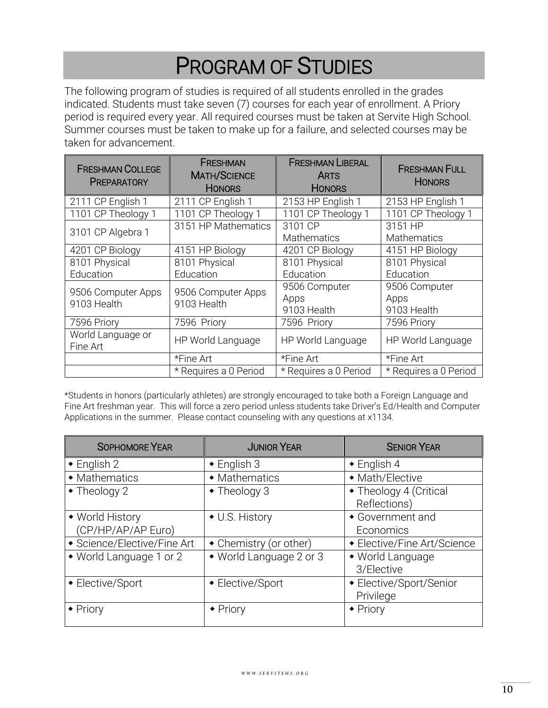## PROGRAM OF STUDIES

<span id="page-9-0"></span>The following program of studies is required of all students enrolled in the grades indicated. Students must take seven (7) courses for each year of enrollment. A Priory period is required every year. All required courses must be taken at Servite High School. Summer courses must be taken to make up for a failure, and selected courses may be taken for advancement.

| <b>FRESHMAN COLLEGE</b><br><b>PREPARATORY</b> | FRESHMAN<br><b>MATH/SCIENCE</b><br><b>HONORS</b> | <b>FRESHMAN LIBERAL</b><br><b>ARTS</b><br><b>HONORS</b> | <b>FRESHMAN FULL</b><br><b>HONORS</b> |
|-----------------------------------------------|--------------------------------------------------|---------------------------------------------------------|---------------------------------------|
| 2111 CP English 1                             | 2111 CP English 1                                | 2153 HP English 1                                       | 2153 HP English 1                     |
| 1101 CP Theology 1                            | 1101 CP Theology 1                               | 1101 CP Theology 1                                      | 1101 CP Theology 1                    |
| 3101 CP Algebra 1                             | 3151 HP Mathematics                              | 3101 CP<br><b>Mathematics</b>                           | 3151 HP<br><b>Mathematics</b>         |
| 4201 CP Biology                               | 4151 HP Biology                                  | 4201 CP Biology                                         | 4151 HP Biology                       |
| 8101 Physical<br>Education                    | 8101 Physical<br>Education                       | 8101 Physical<br>Education                              | 8101 Physical<br>Education            |
| 9506 Computer Apps<br>9103 Health             | 9506 Computer Apps<br>9103 Health                | 9506 Computer<br>Apps<br>9103 Health                    | 9506 Computer<br>Apps<br>9103 Health  |
| 7596 Priory                                   | 7596 Priory                                      | 7596 Priory                                             | 7596 Priory                           |
| World Language or<br>Fine Art                 | HP World Language                                | HP World Language                                       | HP World Language                     |
|                                               | *Fine Art                                        | *Fine Art                                               | *Fine Art                             |
|                                               | * Requires a 0 Period                            | * Requires a 0 Period                                   | * Requires a 0 Period                 |

\*Students in honors (particularly athletes) are strongly encouraged to take both a Foreign Language and Fine Art freshman year. This will force a zero period unless students take Driver's Ed/Health and Computer Applications in the summer. Please contact counseling with any questions at x1134.

| <b>SOPHOMORE YEAR</b>       | <b>JUNIOR YEAR</b>      | <b>SENIOR YEAR</b>                     |
|-----------------------------|-------------------------|----------------------------------------|
| $\bullet$ English 2         | $\bullet$ English 3     | $\bullet$ English 4                    |
| • Mathematics               | • Mathematics           | • Math/Elective                        |
| $\bullet$ Theology 2        | $\bullet$ Theology 3    | • Theology 4 (Critical<br>Reflections) |
| • World History             | • U.S. History          | • Government and                       |
| (CP/HP/AP/AP Euro)          |                         | Economics                              |
| ◆ Science/Elective/Fine Art | • Chemistry (or other)  | • Elective/Fine Art/Science            |
| • World Language 1 or 2     | • World Language 2 or 3 | • World Language                       |
|                             |                         | 3/Elective                             |
| • Elective/Sport            | • Elective/Sport        | • Elective/Sport/Senior                |
|                             |                         | Privilege                              |
| • Priory                    | • Priory                | $\bullet$ Priory                       |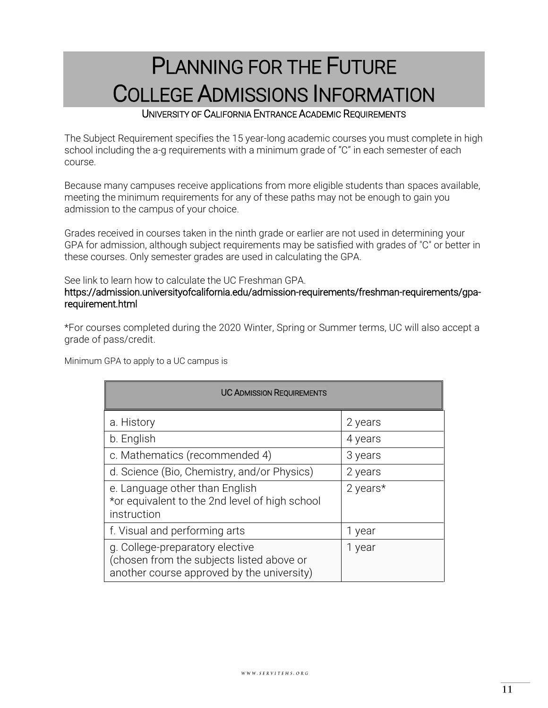## <span id="page-10-0"></span>PLANNING FOR THE FUTURE COLLEGE ADMISSIONS INFORMATION

### UNIVERSITY OF CALIFORNIA ENTRANCE ACADEMIC REQUIREMENTS

<span id="page-10-1"></span>The Subject Requirement specifies the 15 year-long academic courses you must complete in high school including the a-g requirements with a minimum grade of "C" in each semester of each course.

Because many campuses receive applications from more eligible students than spaces available, meeting the minimum requirements for any of these paths may not be enough to gain you admission to the campus of your choice.

Grades received in courses taken in the ninth grade or earlier are not used in determining your GPA for admission, although subject requirements may be satisfied with grades of "C" or better in these courses. Only semester grades are used in calculating the GPA.

### See link to learn how to calculate the UC Freshman GPA.

### https://admission.universityofcalifornia.edu/admission-requirements/freshman-requirements/gparequirement.html

\*For courses completed during the 2020 Winter, Spring or Summer terms, UC will also accept a grade of pass/credit.

Minimum GPA to apply to a UC campus is

| <b>UC ADMISSION REQUIREMENTS</b>                                                                                           |          |
|----------------------------------------------------------------------------------------------------------------------------|----------|
| a. History                                                                                                                 | 2 years  |
| b. English                                                                                                                 | 4 years  |
| c. Mathematics (recommended 4)                                                                                             | 3 years  |
| d. Science (Bio, Chemistry, and/or Physics)                                                                                | 2 years  |
| e. Language other than English<br>*or equivalent to the 2nd level of high school<br>instruction                            | 2 years* |
| f. Visual and performing arts                                                                                              | 1 year   |
| g. College-preparatory elective<br>(chosen from the subjects listed above or<br>another course approved by the university) | 1 year   |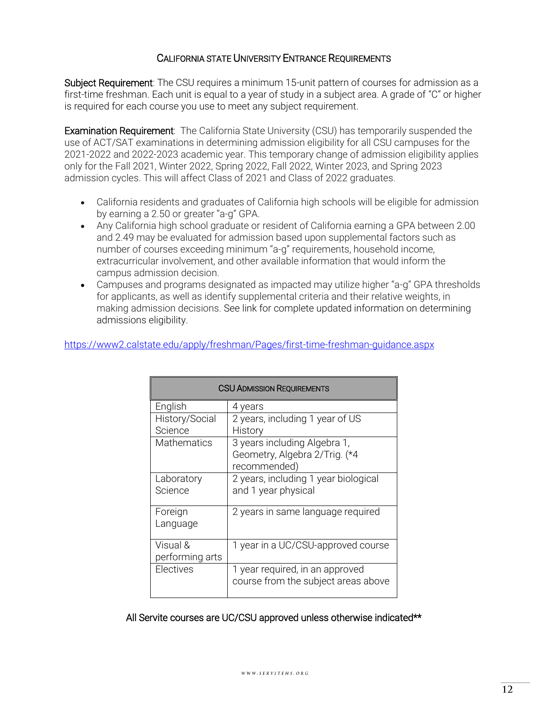### CALIFORNIA STATE UNIVERSITY ENTRANCE REQUIREMENTS

Subject Requirement: The CSU requires a minimum 15-unit pattern of courses for admission as a first-time freshman. Each unit is equal to a year of study in a subject area. A grade of "C" or higher is required for each course you use to meet any subject requirement.

**Examination Requirement**: The California State University (CSU) has temporarily suspended the use of ACT/SAT examinations in determining admission eligibility for all CSU campuses for the 2021-2022 and 2022-2023 academic year. This temporary change of admission eligibility applies only for the Fall 2021, Winter 2022, Spring 2022, Fall 2022, Winter 2023, and Spring 2023 admission cycles. This will affect Class of 2021 and Class of 2022 graduates.

- California residents and graduates of California high schools will be eligible for admission by earning a 2.50 or greater "a-g" GPA.
- Any California high school graduate or resident of California earning a GPA between 2.00 and 2.49 may be evaluated for admission based upon supplemental factors such as number of courses exceeding minimum "a-g" requirements, household income, extracurricular involvement, and other available information that would inform the campus admission decision.
- Campuses and programs designated as impacted may utilize higher "a-g" GPA thresholds for applicants, as well as identify supplemental criteria and their relative weights, in making admission decisions. See link for complete updated information on determining admissions eligibility.

| https://www2.calstate.edu/apply/freshman/Pages/first-time-freshman-guidance.aspx |  |
|----------------------------------------------------------------------------------|--|
|                                                                                  |  |

| <b>CSU ADMISSION REQUIREMENTS</b> |                                                                               |  |
|-----------------------------------|-------------------------------------------------------------------------------|--|
| English                           | 4 years                                                                       |  |
| History/Social                    | 2 years, including 1 year of US                                               |  |
| Science                           | History                                                                       |  |
| <b>Mathematics</b>                | 3 years including Algebra 1,<br>Geometry, Algebra 2/Trig. (*4<br>recommended) |  |
| Laboratory<br>Science             | 2 years, including 1 year biological<br>and 1 year physical                   |  |
| Foreign<br>Language               | 2 years in same language required                                             |  |
| Visual &<br>performing arts       | 1 year in a UC/CSU-approved course                                            |  |
| Electives                         | 1 year required, in an approved<br>course from the subject areas above        |  |

All Servite courses are UC/CSU approved unless otherwise indicated\*\*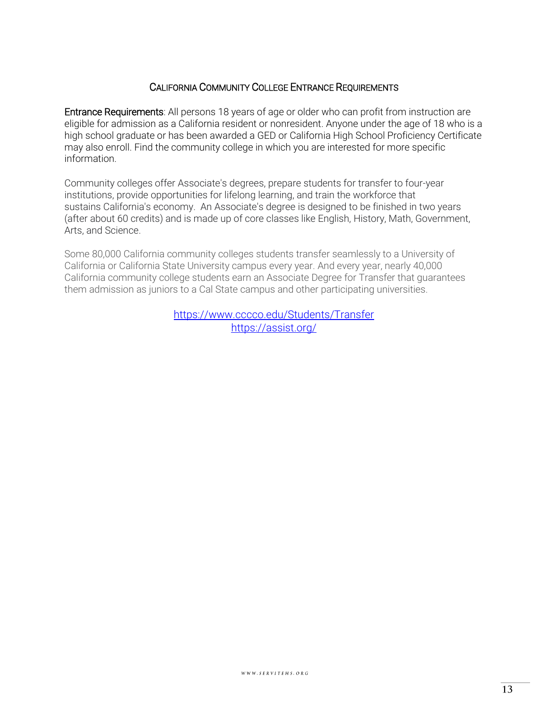### CALIFORNIA COMMUNITY COLLEGE ENTRANCE REQUIREMENTS

Entrance Requirements: All persons 18 years of age or older who can profit from instruction are eligible for admission as a California resident or nonresident. Anyone under the age of 18 who is a high school graduate or has been awarded a GED or California High School Proficiency Certificate may also enroll. Find the community college in which you are interested for more specific information.

Community colleges offer Associate's degrees, prepare students for transfer to four-year institutions, provide opportunities for lifelong learning, and train the workforce that sustains California's economy. An Associate's degree is designed to be finished in two years (after about 60 credits) and is made up of core classes like English, History, Math, Government, Arts, and Science.

Some 80,000 California community colleges students transfer seamlessly to a University of California or California State University campus every year. And every year, nearly 40,000 California community college students earn an Associate Degree for Transfer that guarantees them admission as juniors to a Cal State campus and other participating universities.

> <https://www.cccco.edu/Students/Transfer> <https://assist.org/>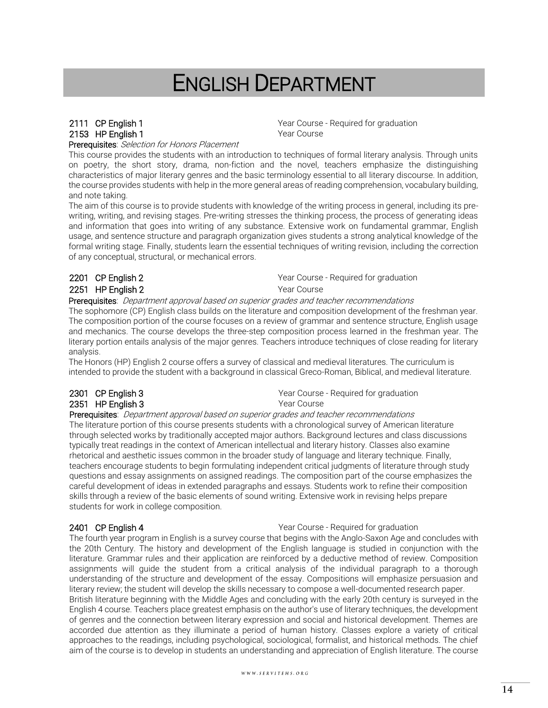## ENGLISH DEPARTMENT

## <span id="page-13-0"></span>2153 HP English 1 Year Course

2111 CP English 1 **CP English 1** Year Course - Required for graduation

Prerequisites: Selection for Honors Placement

This course provides the students with an introduction to techniques of formal literary analysis. Through units on poetry, the short story, drama, non-fiction and the novel, teachers emphasize the distinguishing characteristics of major literary genres and the basic terminology essential to all literary discourse. In addition, the course provides students with help in the more general areas of reading comprehension, vocabulary building, and note taking.

The aim of this course is to provide students with knowledge of the writing process in general, including its prewriting, writing, and revising stages. Pre-writing stresses the thinking process, the process of generating ideas and information that goes into writing of any substance. Extensive work on fundamental grammar, English usage, and sentence structure and paragraph organization gives students a strong analytical knowledge of the formal writing stage. Finally, students learn the essential techniques of writing revision, including the correction of any conceptual, structural, or mechanical errors.

### 2251 HP English 2 Year Course

2201 CP English 2 **Parage 2201** CP English 2

Prerequisites: Department approval based on superior grades and teacher recommendations

The sophomore (CP) English class builds on the literature and composition development of the freshman year. The composition portion of the course focuses on a review of grammar and sentence structure, English usage and mechanics. The course develops the three-step composition process learned in the freshman year. The literary portion entails analysis of the major genres. Teachers introduce techniques of close reading for literary analysis.

The Honors (HP) English 2 course offers a survey of classical and medieval literatures. The curriculum is intended to provide the student with a background in classical Greco-Roman, Biblical, and medieval literature.

## 2351 HP English 3 Year Course

2301 CP English 3 **CP English 3** Year Course - Required for graduation

Prerequisites: Department approval based on superior grades and teacher recommendations

The literature portion of this course presents students with a chronological survey of American literature through selected works by traditionally accepted major authors. Background lectures and class discussions typically treat readings in the context of American intellectual and literary history. Classes also examine rhetorical and aesthetic issues common in the broader study of language and literary technique. Finally, teachers encourage students to begin formulating independent critical judgments of literature through study questions and essay assignments on assigned readings. The composition part of the course emphasizes the careful development of ideas in extended paragraphs and essays. Students work to refine their composition skills through a review of the basic elements of sound writing. Extensive work in revising helps prepare students for work in college composition.

2401 CP English 4 **Year Course - Required for graduation** 

The fourth year program in English is a survey course that begins with the Anglo-Saxon Age and concludes with the 20th Century. The history and development of the English language is studied in conjunction with the literature. Grammar rules and their application are reinforced by a deductive method of review. Composition assignments will guide the student from a critical analysis of the individual paragraph to a thorough understanding of the structure and development of the essay. Compositions will emphasize persuasion and literary review; the student will develop the skills necessary to compose a well-documented research paper. British literature beginning with the Middle Ages and concluding with the early 20th century is surveyed in the English 4 course. Teachers place greatest emphasis on the author's use of literary techniques, the development of genres and the connection between literary expression and social and historical development. Themes are accorded due attention as they illuminate a period of human history. Classes explore a variety of critical approaches to the readings, including psychological, sociological, formalist, and historical methods. The chief aim of the course is to develop in students an understanding and appreciation of English literature. The course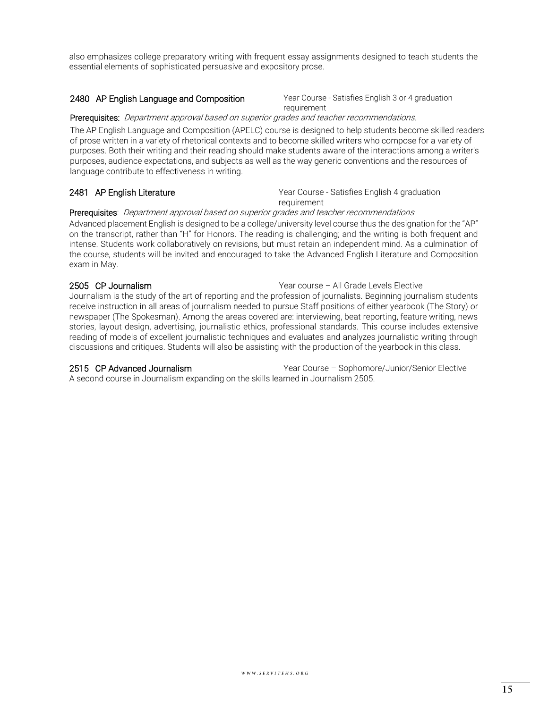also emphasizes college preparatory writing with frequent essay assignments designed to teach students the essential elements of sophisticated persuasive and expository prose.

#### 2480 AP English Language and Composition Year Course - Satisfies English 3 or 4 graduation

requirement

#### Prerequisites: Department approval based on superior grades and teacher recommendations.

The AP English Language and Composition (APELC) course is designed to help students become skilled readers of prose written in a variety of rhetorical contexts and to become skilled writers who compose for a variety of purposes. Both their writing and their reading should make students aware of the interactions among a writer's purposes, audience expectations, and subjects as well as the way generic conventions and the resources of language contribute to effectiveness in writing.

2481 AP English Literature **Year Course - Satisfies English 4 graduation** requirement

#### Prerequisites: Department approval based on superior grades and teacher recommendations

Advanced placement English is designed to be a college/university level course thus the designation for the "AP" on the transcript, rather than "H" for Honors. The reading is challenging; and the writing is both frequent and intense. Students work collaboratively on revisions, but must retain an independent mind. As a culmination of the course, students will be invited and encouraged to take the Advanced English Literature and Composition exam in May.

2505 CP Journalism Year course – All Grade Levels Elective

Journalism is the study of the art of reporting and the profession of journalists. Beginning journalism students receive instruction in all areas of journalism needed to pursue Staff positions of either yearbook (The Story) or newspaper (The Spokesman). Among the areas covered are: interviewing, beat reporting, feature writing, news stories, layout design, advertising, journalistic ethics, professional standards. This course includes extensive reading of models of excellent journalistic techniques and evaluates and analyzes journalistic writing through discussions and critiques. Students will also be assisting with the production of the yearbook in this class.

2515 CP Advanced Journalism Year Course – Sophomore/Junior/Senior Elective

A second course in Journalism expanding on the skills learned in Journalism 2505.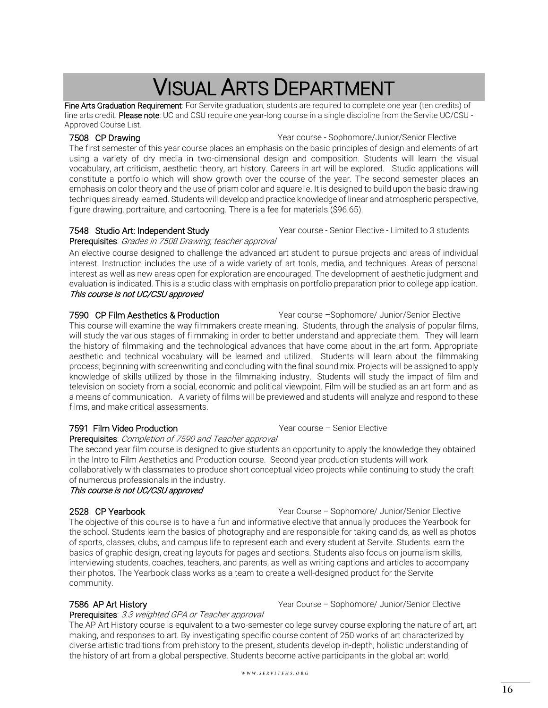## VISUAL ARTS DEPARTMENT

<span id="page-15-0"></span>Fine Arts Graduation Requirement: For Servite graduation, students are required to complete one year (ten credits) of fine arts credit. Please note: UC and CSU require one year-long course in a single discipline from the Servite UC/CSU -Approved Course List.

7508 CP Drawing **The Course - Sophomore/Junior/Senior Elective** Vear course - Sophomore/Junior/Senior Elective

The first semester of this year course places an emphasis on the basic principles of design and elements of art using a variety of dry media in two-dimensional design and composition. Students will learn the visual vocabulary, art criticism, aesthetic theory, art history. Careers in art will be explored. Studio applications will constitute a portfolio which will show growth over the course of the year. The second semester places an emphasis on color theory and the use of prism color and aquarelle. It is designed to build upon the basic drawing techniques already learned. Students will develop and practice knowledge of linear and atmospheric perspective, figure drawing, portraiture, and cartooning. There is a fee for materials (\$96.65).

7548 Studio Art: Independent Study Year course - Senior Elective - Limited to 3 students

### Prerequisites: Grades in 7508 Drawing; teacher approval

An elective course designed to challenge the advanced art student to pursue projects and areas of individual interest. Instruction includes the use of a wide variety of art tools, media, and techniques. Areas of personal interest as well as new areas open for exploration are encouraged. The development of aesthetic judgment and evaluation is indicated. This is a studio class with emphasis on portfolio preparation prior to college application. This course is not UC/CSU approved

#### 7590 CP Film Aesthetics & Production **Year course -Sophomore/ Junior/Senior Elective**

This course will examine the way filmmakers create meaning. Students, through the analysis of popular films, will study the various stages of filmmaking in order to better understand and appreciate them. They will learn the history of filmmaking and the technological advances that have come about in the art form. Appropriate aesthetic and technical vocabulary will be learned and utilized. Students will learn about the filmmaking process; beginning with screenwriting and concluding with the final sound mix. Projects will be assigned to apply knowledge of skills utilized by those in the filmmaking industry. Students will study the impact of film and television on society from a social, economic and political viewpoint. Film will be studied as an art form and as a means of communication. A variety of films will be previewed and students will analyze and respond to these films, and make critical assessments.

### 7591 Film Video Production Mateur Channel Mear course - Senior Elective

Prerequisites: Completion of 7590 and Teacher approval

The second year film course is designed to give students an opportunity to apply the knowledge they obtained in the Intro to Film Aesthetics and Production course. Second year production students will work collaboratively with classmates to produce short conceptual video projects while continuing to study the craft of numerous professionals in the industry.

### This course is not UC/CSU approved

2528 CP Yearbook The Vear Course – Sophomore/ Junior/Senior Elective The objective of this course is to have a fun and informative elective that annually produces the Yearbook for the school. Students learn the basics of photography and are responsible for taking candids, as well as photos of sports, classes, clubs, and campus life to represent each and every student at Servite. Students learn the basics of graphic design, creating layouts for pages and sections. Students also focus on journalism skills, interviewing students, coaches, teachers, and parents, as well as writing captions and articles to accompany their photos. The Yearbook class works as a team to create a well-designed product for the Servite community.

### 7586 AP Art History **The Course – Sophomore/ Junior/Senior Elective** Vear Course – Sophomore/ Junior/Senior Elective

Prerequisites: 3.3 weighted GPA or Teacher approval

The AP Art History course is equivalent to a two-semester college survey course exploring the nature of art, art making, and responses to art. By investigating specific course content of 250 works of art characterized by diverse artistic traditions from prehistory to the present, students develop in-depth, holistic understanding of the history of art from a global perspective. Students become active participants in the global art world,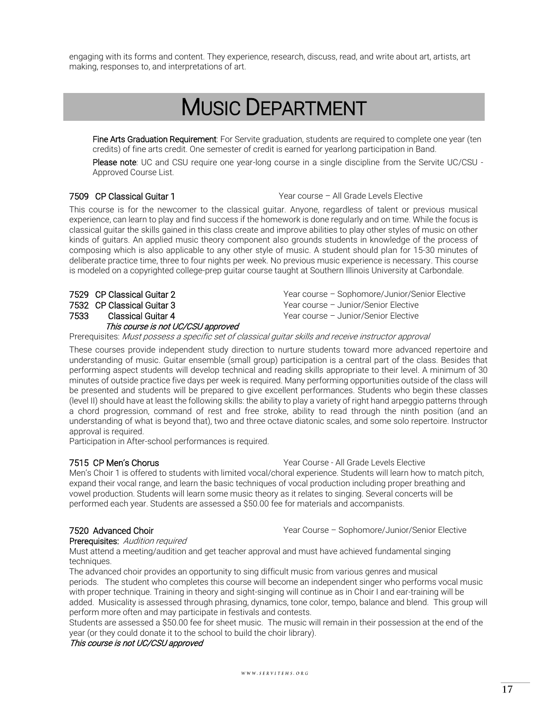<span id="page-16-0"></span>engaging with its forms and content. They experience, research, discuss, read, and write about art, artists, art making, responses to, and interpretations of art.

## MUSIC DEPARTMENT

**Fine Arts Graduation Requirement**: For Servite graduation, students are required to complete one year (ten credits) of fine arts credit. One semester of credit is earned for yearlong participation in Band.

Please note: UC and CSU require one year-long course in a single discipline from the Servite UC/CSU -Approved Course List.

7509 CP Classical Guitar 1 Year course – All Grade Levels Elective

This course is for the newcomer to the classical guitar. Anyone, regardless of talent or previous musical experience, can learn to play and find success if the homework is done regularly and on time. While the focus is classical guitar the skills gained in this class create and improve abilities to play other styles of music on other kinds of guitars. An applied music theory component also grounds students in knowledge of the process of composing which is also applicable to any other style of music. A student should plan for 15-30 minutes of deliberate practice time, three to four nights per week. No previous music experience is necessary. This course is modeled on a copyrighted college-prep guitar course taught at Southern Illinois University at Carbondale.

7533 Classical Guitar 4

#### This course is not UC/CSU approved

7529 CP Classical Guitar 2 Year course – Sophomore/Junior/Senior Elective 7532 CP Classical Guitar 3 Year course – Junior/Senior Elective Year course – Junior/Senior Elective

#### Prerequisites: Must possess a specific set of classical quitar skills and receive instructor approval

These courses provide independent study direction to nurture students toward more advanced repertoire and understanding of music. Guitar ensemble (small group) participation is a central part of the class. Besides that performing aspect students will develop technical and reading skills appropriate to their level. A minimum of 30 minutes of outside practice five days per week is required. Many performing opportunities outside of the class will be presented and students will be prepared to give excellent performances. Students who begin these classes (level II) should have at least the following skills: the ability to play a variety of right hand arpeggio patterns through a chord progression, command of rest and free stroke, ability to read through the ninth position (and an understanding of what is beyond that), two and three octave diatonic scales, and some solo repertoire. Instructor approval is required.

Participation in After-school performances is required.

7515 CP Men's Chorus Year Course - All Grade Levels Elective

Men's Choir 1 is offered to students with limited vocal/choral experience. Students will learn how to match pitch, expand their vocal range, and learn the basic techniques of vocal production including proper breathing and vowel production. Students will learn some music theory as it relates to singing. Several concerts will be performed each year. Students are assessed a \$50.00 fee for materials and accompanists.

7520 Advanced Choir Year Course – Sophomore/Junior/Senior Elective

Prerequisites: Audition required

Must attend a meeting/audition and get teacher approval and must have achieved fundamental singing techniques.

The advanced choir provides an opportunity to sing difficult music from various genres and musical periods. The student who completes this course will become an independent singer who performs vocal music with proper technique. Training in theory and sight-singing will continue as in Choir I and ear-training will be added. Musicality is assessed through phrasing, dynamics, tone color, tempo, balance and blend. This group will perform more often and may participate in festivals and contests.

Students are assessed a \$50.00 fee for sheet music. The music will remain in their possession at the end of the year (or they could donate it to the school to build the choir library).

#### This course is not UC/CSU approved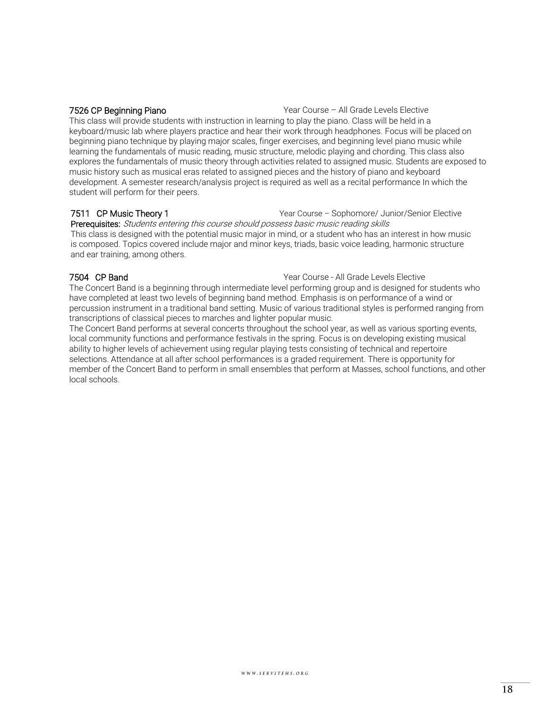7526 CP Beginning Piano **Year Course – All Grade Levels Elective** Vear Course – All Grade Levels Elective This class will provide students with instruction in learning to play the piano. Class will be held in a keyboard/music lab where players practice and hear their work through headphones. Focus will be placed on beginning piano technique by playing major scales, finger exercises, and beginning level piano music while learning the fundamentals of music reading, music structure, melodic playing and chording. This class also explores the fundamentals of music theory through activities related to assigned music. Students are exposed to music history such as musical eras related to assigned pieces and the history of piano and keyboard development. A semester research/analysis project is required as well as a recital performance In which the student will perform for their peers.

#### 7511 CP Music Theory 1 Year Course – Sophomore/ Junior/Senior Elective Prerequisites: Students entering this course should possess basic music reading skills This class is designed with the potential music major in mind, or a student who has an interest in how music is composed. Topics covered include major and minor keys, triads, basic voice leading, harmonic structure and ear training, among others.

**7504 CP Band COURCO COURCE ALL COURSE ARE COURSE** - All Grade Levels Elective

The Concert Band is a beginning through intermediate level performing group and is designed for students who have completed at least two levels of beginning band method. Emphasis is on performance of a wind or percussion instrument in a traditional band setting. Music of various traditional styles is performed ranging from transcriptions of classical pieces to marches and lighter popular music.

The Concert Band performs at several concerts throughout the school year, as well as various sporting events, local community functions and performance festivals in the spring. Focus is on developing existing musical ability to higher levels of achievement using regular playing tests consisting of technical and repertoire selections. Attendance at all after school performances is a graded requirement. There is opportunity for member of the Concert Band to perform in small ensembles that perform at Masses, school functions, and other local schools.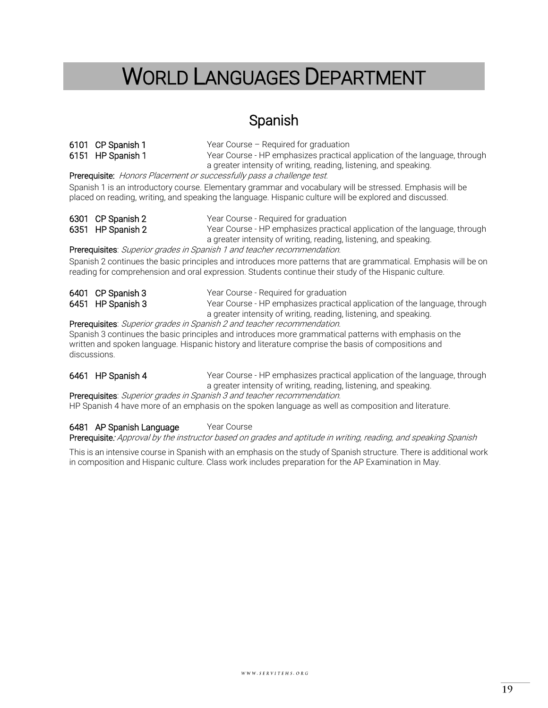## <span id="page-18-0"></span>WORLD LANGUAGES DEPARTMENT

### Spanish

6101 CP Spanish 1 Year Course – Required for graduation 6151 HP Spanish 1 Year Course - HP emphasizes practical application of the language, through a greater intensity of writing, reading, listening, and speaking.

Prerequisite: Honors Placement or successfully pass a challenge test.

Spanish 1 is an introductory course. Elementary grammar and vocabulary will be stressed. Emphasis will be placed on reading, writing, and speaking the language. Hispanic culture will be explored and discussed.

| 6301 CP Spanish 2 | Year Course - Required for graduation                                      |
|-------------------|----------------------------------------------------------------------------|
| 6351 HP Spanish 2 | Year Course - HP emphasizes practical application of the language, through |
|                   | a greater intensity of writing, reading, listening, and speaking.          |

Prerequisites: Superior grades in Spanish 1 and teacher recommendation.

Spanish 2 continues the basic principles and introduces more patterns that are grammatical. Emphasis will be on reading for comprehension and oral expression. Students continue their study of the Hispanic culture.

| 6401 CP Spanish 3 | Year Course - Required for graduation                                      |
|-------------------|----------------------------------------------------------------------------|
| 6451 HP Spanish 3 | Year Course - HP emphasizes practical application of the language, through |
|                   | a greater intensity of writing, reading, listening, and speaking.          |

Prerequisites: Superior grades in Spanish 2 and teacher recommendation.

Spanish 3 continues the basic principles and introduces more grammatical patterns with emphasis on the written and spoken language. Hispanic history and literature comprise the basis of compositions and discussions.

6461 HP Spanish 4 Year Course - HP emphasizes practical application of the language, through a greater intensity of writing, reading, listening, and speaking.

Prerequisites: Superior grades in Spanish 3 and teacher recommendation.

HP Spanish 4 have more of an emphasis on the spoken language as well as composition and literature.

#### 6481 AP Spanish Language Year Course

Prerequisite: Approval by the instructor based on grades and aptitude in writing, reading, and speaking Spanish

This is an intensive course in Spanish with an emphasis on the study of Spanish structure. There is additional work in composition and Hispanic culture. Class work includes preparation for the AP Examination in May.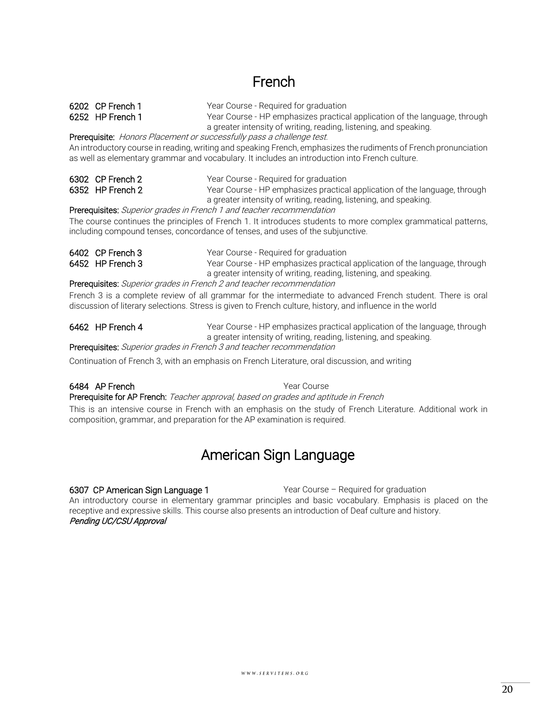## French

6202 CP French 1 Year Course - Required for graduation

6252 HP French 1 Year Course - HP emphasizes practical application of the language, through a greater intensity of writing, reading, listening, and speaking.

Prerequisite: Honors Placement or successfully pass a challenge test.

An introductory course in reading, writing and speaking French, emphasizes the rudiments of French pronunciation as well as elementary grammar and vocabulary. It includes an introduction into French culture.

| 6302 CP French 2 | Year Course - Required for graduation                                      |
|------------------|----------------------------------------------------------------------------|
| 6352 HP French 2 | Year Course - HP emphasizes practical application of the language, through |
|                  | a greater intensity of writing, reading, listening, and speaking.          |

Prerequisites: Superior grades in French 1 and teacher recommendation

The course continues the principles of French 1. It introduces students to more complex grammatical patterns, including compound tenses, concordance of tenses, and uses of the subjunctive.

| 6402 CP French 3 | Year Course - Required for graduation                                      |
|------------------|----------------------------------------------------------------------------|
| 6452 HP French 3 | Year Course - HP emphasizes practical application of the language, through |
|                  | a greater intensity of writing, reading, listening, and speaking.          |

Prerequisites: Superior grades in French 2 and teacher recommendation

French 3 is a complete review of all grammar for the intermediate to advanced French student. There is oral discussion of literary selections. Stress is given to French culture, history, and influence in the world

6462 HP French 4 Year Course - HP emphasizes practical application of the language, through a greater intensity of writing, reading, listening, and speaking.

Prerequisites: Superior grades in French 3 and teacher recommendation

Continuation of French 3, with an emphasis on French Literature, oral discussion, and writing

### 6484 AP French **Year Course**

Prerequisite for AP French: Teacher approval, based on grades and aptitude in French

This is an intensive course in French with an emphasis on the study of French Literature. Additional work in composition, grammar, and preparation for the AP examination is required.

### American Sign Language

6307 CP American Sign Language 1 Year Course – Required for graduation

An introductory course in elementary grammar principles and basic vocabulary. Emphasis is placed on the receptive and expressive skills. This course also presents an introduction of Deaf culture and history. Pending UC/CSU Approval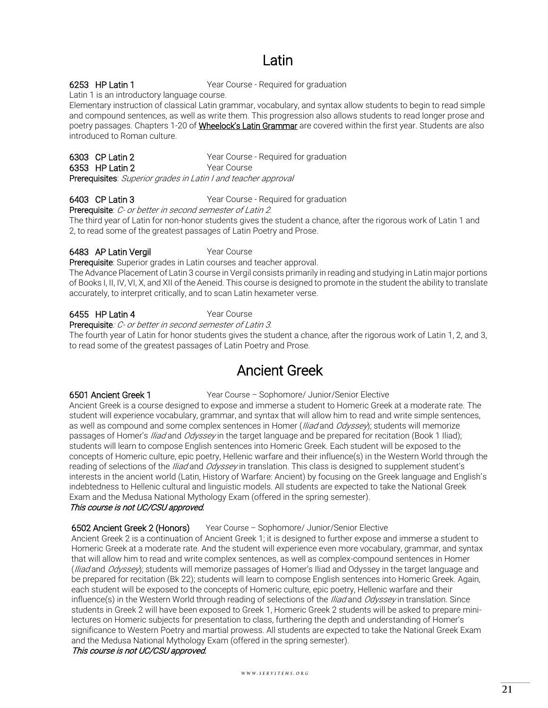## Latin

6253 HP Latin 1 Year Course - Required for graduation

Latin 1 is an introductory language course.

Elementary instruction of classical Latin grammar, vocabulary, and syntax allow students to begin to read simple and compound sentences, as well as write them. This progression also allows students to read longer prose and poetry passages. Chapters 1-20 of *Wheelock's Latin Grammar* are covered within the first year. Students are also introduced to Roman culture.

|                                                                | 6303 CP Latin 2 | Year Course - Reguired for graduation |  |  |
|----------------------------------------------------------------|-----------------|---------------------------------------|--|--|
|                                                                | 6353 HP Latin 2 | Year Course                           |  |  |
| Prerequisites: Superior grades in Latin I and teacher approval |                 |                                       |  |  |

6403 CP Latin 3 Year Course - Required for graduation

Prerequisite: C- or better in second semester of Latin 2.

The third year of Latin for non-honor students gives the student a chance, after the rigorous work of Latin 1 and 2, to read some of the greatest passages of Latin Poetry and Prose.

6483 AP Latin Vergil Year Course

Prerequisite: Superior grades in Latin courses and teacher approval. The Advance Placement of Latin 3 course in Vergil consists primarily in reading and studying in Latin major portions

of Books I, II, IV, VI, X, and XII of the Aeneid. This course is designed to promote in the student the ability to translate accurately, to interpret critically, and to scan Latin hexameter verse.

### 6455 HP Latin 4 Year Course

Prerequisite: C- or better in second semester of Latin 3.

The fourth year of Latin for honor students gives the student a chance, after the rigorous work of Latin 1, 2, and 3, to read some of the greatest passages of Latin Poetry and Prose.

### Ancient Greek

6501 Ancient Greek 1 Year Course – Sophomore/ Junior/Senior Elective

Ancient Greek is a course designed to expose and immerse a student to Homeric Greek at a moderate rate. The student will experience vocabulary, grammar, and syntax that will allow him to read and write simple sentences, as well as compound and some complex sentences in Homer (*Iliad* and *Odyssey*); students will memorize passages of Homer's *Iliad* and *Odyssey* in the target language and be prepared for recitation (Book 1 Iliad); students will learn to compose English sentences into Homeric Greek. Each student will be exposed to the concepts of Homeric culture, epic poetry, Hellenic warfare and their influence(s) in the Western World through the reading of selections of the *Iliad* and *Odyssey* in translation. This class is designed to supplement student's interests in the ancient world (Latin, History of Warfare: Ancient) by focusing on the Greek language and English's indebtedness to Hellenic cultural and linguistic models. All students are expected to take the National Greek Exam and the Medusa National Mythology Exam (offered in the spring semester).

### This course is not UC/CSU approved.

6502 Ancient Greek 2 (Honors) Year Course - Sophomore/ Junior/Senior Elective

Ancient Greek 2 is a continuation of Ancient Greek 1; it is designed to further expose and immerse a student to Homeric Greek at a moderate rate. And the student will experience even more vocabulary, grammar, and syntax that will allow him to read and write complex sentences, as well as complex-compound sentences in Homer (*Iliad* and *Odyssey*); students will memorize passages of Homer's Iliad and Odyssey in the target language and be prepared for recitation (Bk 22); students will learn to compose English sentences into Homeric Greek. Again, each student will be exposed to the concepts of Homeric culture, epic poetry, Hellenic warfare and their influence(s) in the Western World through reading of selections of the *Iliad* and Odyssey in translation. Since students in Greek 2 will have been exposed to Greek 1, Homeric Greek 2 students will be asked to prepare minilectures on Homeric subjects for presentation to class, furthering the depth and understanding of Homer's significance to Western Poetry and martial prowess. All students are expected to take the National Greek Exam and the Medusa National Mythology Exam (offered in the spring semester). This course is not UC/CSU approved.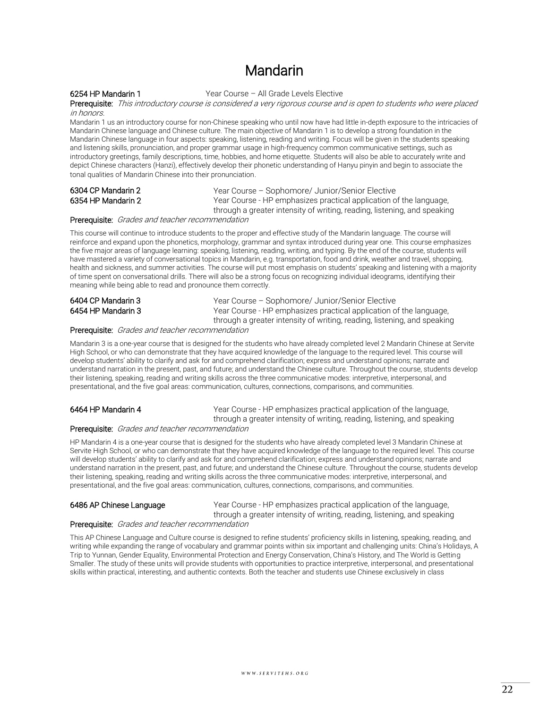### Mandarin

6254 HP Mandarin 1 Year Course – All Grade Levels Elective

Prerequisite: This introductory course is considered a very rigorous course and is open to students who were placed in honors.

Mandarin 1 us an introductory course for non-Chinese speaking who until now have had little in-depth exposure to the intricacies of Mandarin Chinese language and Chinese culture. The main objective of Mandarin 1 is to develop a strong foundation in the Mandarin Chinese language in four aspects: speaking, listening, reading and writing. Focus will be given in the students speaking and listening skills, pronunciation, and proper grammar usage in high-frequency common communicative settings, such as introductory greetings, family descriptions, time, hobbies, and home etiquette. Students will also be able to accurately write and depict Chinese characters (Hanzi), effectively develop their phonetic understanding of Hanyu pinyin and begin to associate the tonal qualities of Mandarin Chinese into their pronunciation.

6304 CP Mandarin 2 Year Course – Sophomore/ Junior/Senior Elective 6354 HP Mandarin 2 Year Course - HP emphasizes practical application of the language, through a greater intensity of writing, reading, listening, and speaking

#### Prerequisite: Grades and teacher recommendation

This course will continue to introduce students to the proper and effective study of the Mandarin language. The course will reinforce and expand upon the phonetics, morphology, grammar and syntax introduced during year one. This course emphasizes the five major areas of language learning: speaking, listening, reading, writing, and typing. By the end of the course, students will have mastered a variety of conversational topics in Mandarin, e.g. transportation, food and drink, weather and travel, shopping, health and sickness, and summer activities. The course will put most emphasis on students' speaking and listening with a majority of time spent on conversational drills. There will also be a strong focus on recognizing individual ideograms, identifying their meaning while being able to read and pronounce them correctly.

| 6404 CP Mandarin 3 | Year Course - Sophom     |
|--------------------|--------------------------|
| 6454 HP Mandarin 3 | Year Course - HP emph    |
|                    | through a grapher intone |

hore/ Junior/Senior Elective asizes practical application of the language, through a greater intensity of writing, reading, listening, and speaking

#### Prerequisite: Grades and teacher recommendation

Mandarin 3 is a one-year course that is designed for the students who have already completed level 2 Mandarin Chinese at Servite High School, or who can demonstrate that they have acquired knowledge of the language to the required level. This course will develop students' ability to clarify and ask for and comprehend clarification; express and understand opinions; narrate and understand narration in the present, past, and future; and understand the Chinese culture. Throughout the course, students develop their listening, speaking, reading and writing skills across the three communicative modes: interpretive, interpersonal, and presentational, and the five goal areas: communication, cultures, connections, comparisons, and communities.

6464 HP Mandarin 4 Year Course - HP emphasizes practical application of the language, through a greater intensity of writing, reading, listening, and speaking

#### Prerequisite: Grades and teacher recommendation

HP Mandarin 4 is a one-year course that is designed for the students who have already completed level 3 Mandarin Chinese at Servite High School, or who can demonstrate that they have acquired knowledge of the language to the required level. This course will develop students' ability to clarify and ask for and comprehend clarification; express and understand opinions; narrate and understand narration in the present, past, and future; and understand the Chinese culture. Throughout the course, students develop their listening, speaking, reading and writing skills across the three communicative modes: interpretive, interpersonal, and presentational, and the five goal areas: communication, cultures, connections, comparisons, and communities.

6486 AP Chinese Language Year Course - HP emphasizes practical application of the language, through a greater intensity of writing, reading, listening, and speaking

### Prerequisite: Grades and teacher recommendation

This AP Chinese Language and Culture course is designed to refine students' proficiency skills in listening, speaking, reading, and writing while expanding the range of vocabulary and grammar points within six important and challenging units: China's Holidays, A Trip to Yunnan, Gender Equality, Environmental Protection and Energy Conservation, China's History, and The World is Getting Smaller. The study of these units will provide students with opportunities to practice interpretive, interpersonal, and presentational skills within practical, interesting, and authentic contexts. Both the teacher and students use Chinese exclusively in class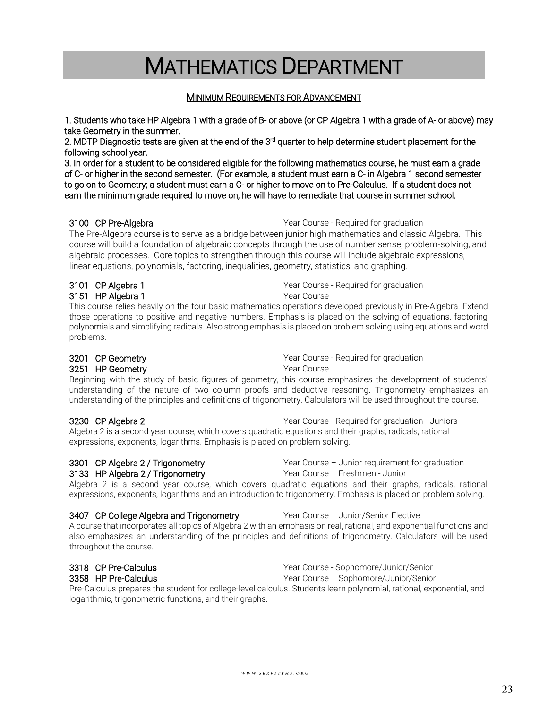## MINIMUM REQUIREMENTS FOR ADVANCEMENT

MATHEMATICS DEPARTMENT

<span id="page-22-0"></span>1. Students who take HP Algebra 1 with a grade of B- or above (or CP Algebra 1 with a grade of A- or above) may

take Geometry in the summer.

2. MDTP Diagnostic tests are given at the end of the 3<sup>rd</sup> quarter to help determine student placement for the following school year.

3. In order for a student to be considered eligible for the following mathematics course, he must earn a grade of C- or higher in the second semester. (For example, a student must earn a C- in Algebra 1 second semester to go on to Geometry; a student must earn a C- or higher to move on to Pre-Calculus. If a student does not earn the minimum grade required to move on, he will have to remediate that course in summer school.

**3100 CP Pre-Algebra** Manuscription of the Year Course - Required for graduation

The Pre-Algebra course is to serve as a bridge between junior high mathematics and classic Algebra. This course will build a foundation of algebraic concepts through the use of number sense, problem-solving, and algebraic processes. Core topics to strengthen through this course will include algebraic expressions, linear equations, polynomials, factoring, inequalities, geometry, statistics, and graphing.

### **3101 CP Algebra 1** Mateural CP Algebra 1 Mateural CP Algebra 1 Mateural Press, Negative Algebra 2016 **3151 HP Algebra 1** Mateurse 1 Mateurse 1 Mateurse 1 Mateurse 1 Mateurse 1 Mateurse

This course relies heavily on the four basic mathematics operations developed previously in Pre-Algebra. Extend those operations to positive and negative numbers. Emphasis is placed on the solving of equations, factoring polynomials and simplifying radicals. Also strong emphasis is placed on problem solving using equations and word problems.

## **3251 HP Geometry Community** Year Course

**3201 CP Geometry COULCE 2018 COULCE 2018** Year Course - Required for graduation

Beginning with the study of basic figures of geometry, this course emphasizes the development of students' understanding of the nature of two column proofs and deductive reasoning. Trigonometry emphasizes an understanding of the principles and definitions of trigonometry. Calculators will be used throughout the course.

#### 3230 CP Algebra 2 Year Course - Required for graduation - Juniors Algebra 2 is a second year course, which covers quadratic equations and their graphs, radicals, rational expressions, exponents, logarithms. Emphasis is placed on problem solving.

## 3133 HP Algebra 2 / Trigonometry The State Course – Freshmen - Junior

3301 CP Algebra 2 / Trigonometry **Year Course – Junior requirement for graduation** 

Algebra 2 is a second year course, which covers quadratic equations and their graphs, radicals, rational expressions, exponents, logarithms and an introduction to trigonometry. Emphasis is placed on problem solving.

### 3407 CP College Algebra and Trigonometry Year Course - Junior/Senior Elective

A course that incorporates all topics of Algebra 2 with an emphasis on real, rational, and exponential functions and also emphasizes an understanding of the principles and definitions of trigonometry. Calculators will be used throughout the course.

**3318 CP Pre-Calculus** Mateur Course - Sophomore/Junior/Senior 3358 HP Pre-Calculus **The Calculus** And The Mean Mean Course – Sophomore/Junior/Senior

Pre-Calculus prepares the student for college-level calculus. Students learn polynomial, rational, exponential, and logarithmic, trigonometric functions, and their graphs.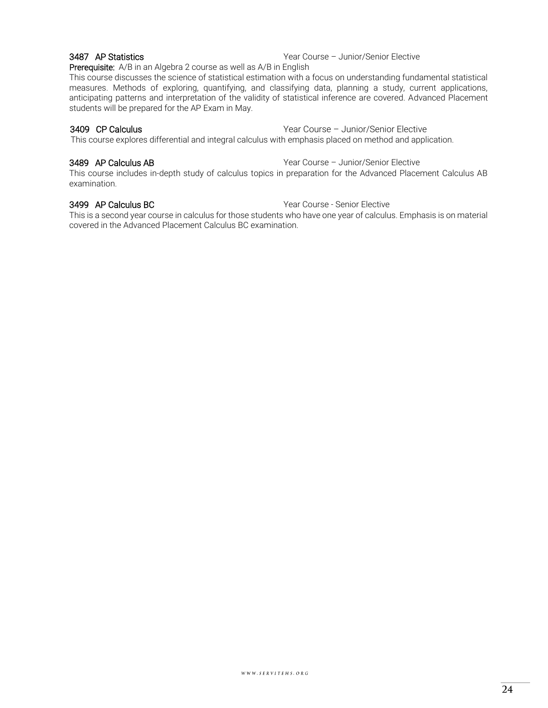3487 AP Statistics **The Statistics Vear Course – Junior/Senior Elective** 

Prerequisite: A/B in an Algebra 2 course as well as A/B in English

This course discusses the science of statistical estimation with a focus on understanding fundamental statistical measures. Methods of exploring, quantifying, and classifying data, planning a study, current applications, anticipating patterns and interpretation of the validity of statistical inference are covered. Advanced Placement students will be prepared for the AP Exam in May.

#### 3409 CP Calculus Year Course – Junior/Senior Elective

This course explores differential and integral calculus with emphasis placed on method and application.

3489 AP Calculus AB Year Course – Junior/Senior Elective

This course includes in-depth study of calculus topics in preparation for the Advanced Placement Calculus AB examination.

3499 AP Calculus BC **The Course - Senior Elective** Year Course - Senior Elective

This is a second year course in calculus for those students who have one year of calculus. Emphasis is on material covered in the Advanced Placement Calculus BC examination.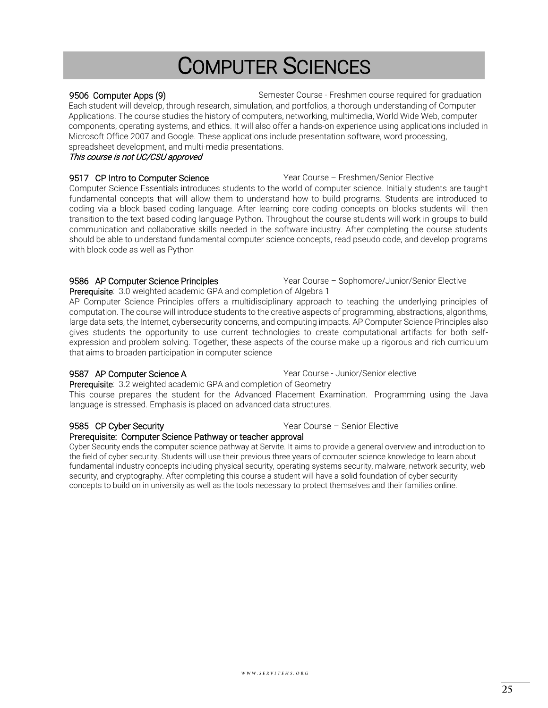## COMPUTER SCIENCES

#### <span id="page-24-0"></span>9506 Computer Apps (9) Semester Course - Freshmen course required for graduation Each student will develop, through research, simulation, and portfolios, a thorough understanding of Computer Applications. The course studies the history of computers, networking, multimedia, World Wide Web, computer components, operating systems, and ethics. It will also offer a hands-on experience using applications included in Microsoft Office 2007 and Google. These applications include presentation software, word processing, spreadsheet development, and multi-media presentations.

#### This course is not UC/CSU approved

#### 9517 CP Intro to Computer Science The State of Year Course – Freshmen/Senior Elective Computer Science Essentials introduces students to the world of computer science. Initially students are taught fundamental concepts that will allow them to understand how to build programs. Students are introduced to coding via a block based coding language. After learning core coding concepts on blocks students will then transition to the text based coding language Python. Throughout the course students will work in groups to build communication and collaborative skills needed in the software industry. After completing the course students should be able to understand fundamental computer science concepts, read pseudo code, and develop programs with block code as well as Python

#### 9586 AP Computer Science Principles **Year Course – Sophomore/Junior/Senior Elective**

Prerequisite: 3.0 weighted academic GPA and completion of Algebra 1 AP Computer Science Principles offers a multidisciplinary approach to teaching the underlying principles of computation. The course will introduce students to the creative aspects of programming, abstractions, algorithms, large data sets, the Internet, cybersecurity concerns, and computing impacts. AP Computer Science Principles also gives students the opportunity to use current technologies to create computational artifacts for both selfexpression and problem solving. Together, these aspects of the course make up a rigorous and rich curriculum that aims to broaden participation in computer science

9587 AP Computer Science A **Year Course - Junior/Senior elective** 

Prerequisite: 3.2 weighted academic GPA and completion of Geometry This course prepares the student for the Advanced Placement Examination. Programming using the Java language is stressed. Emphasis is placed on advanced data structures.

### 9585 CP Cyber Security **Canadian Security** Year Course – Senior Elective

### Prerequisite: Computer Science Pathway or teacher approval

Cyber Security ends the computer science pathway at Servite. It aims to provide a general overview and introduction to the field of cyber security. Students will use their previous three years of computer science knowledge to learn about fundamental industry concepts including physical security, operating systems security, malware, network security, web security, and cryptography. After completing this course a student will have a solid foundation of cyber security concepts to build on in university as well as the tools necessary to protect themselves and their families online.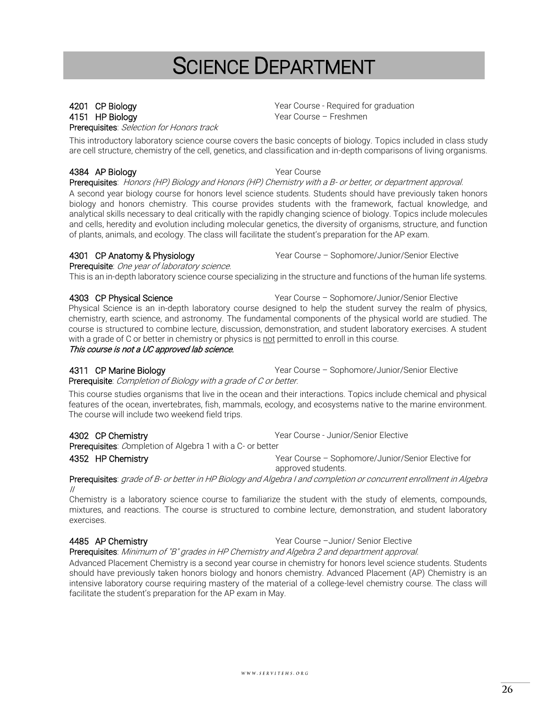## SCIENCE DEPARTMENT

Prerequisites: Selection for Honors track

<span id="page-25-0"></span>**4201 CP Biology We are absolute that Course A Proportional Proportional Proportional Proportional Proportion** 4151 HP Biology **Year Course – Freshmen** 

This introductory laboratory science course covers the basic concepts of biology. Topics included in class study are cell structure, chemistry of the cell, genetics, and classification and in-depth comparisons of living organisms.

### 4384 AP Biology Year Course

Prerequisites: Honors (HP) Biology and Honors (HP) Chemistry with a B- or better, or department approval.

A second year biology course for honors level science students. Students should have previously taken honors biology and honors chemistry. This course provides students with the framework, factual knowledge, and analytical skills necessary to deal critically with the rapidly changing science of biology. Topics include molecules and cells, heredity and evolution including molecular genetics, the diversity of organisms, structure, and function of plants, animals, and ecology. The class will facilitate the student's preparation for the AP exam.

4301 CP Anatomy & Physiology The Mateur Sear Course – Sophomore/Junior/Senior Elective

Prerequisite: One year of laboratory science.

This is an in-depth laboratory science course specializing in the structure and functions of the human life systems.

#### 4303 CP Physical Science The Matter of Matter Vear Course – Sophomore/Junior/Senior Elective

Physical Science is an in-depth laboratory course designed to help the student survey the realm of physics, chemistry, earth science, and astronomy. The fundamental components of the physical world are studied. The course is structured to combine lecture, discussion, demonstration, and student laboratory exercises. A student with a grade of C or better in chemistry or physics is not permitted to enroll in this course.

### This course is not a UC approved lab science.

4311 CP Marine Biology The Source – Sophomore/Junior/Senior Elective Prerequisite: Completion of Biology with a grade of C or better.

This course studies organisms that live in the ocean and their interactions. Topics include chemical and physical features of the ocean, invertebrates, fish, mammals, ecology, and ecosystems native to the marine environment. The course will include two weekend field trips.

4302 CP Chemistry Year Course - Junior/Senior Elective

Prerequisites: Completion of Algebra 1 with a C- or better 4352 HP Chemistry Year Course – Sophomore/Junior/Senior Elective for

approved students.

Prerequisites: grade of B- or better in HP Biology and Algebra I and completion or concurrent enrollment in Algebra II

Chemistry is a laboratory science course to familiarize the student with the study of elements, compounds, mixtures, and reactions. The course is structured to combine lecture, demonstration, and student laboratory exercises.

4485 AP Chemistry Year Course –Junior/ Senior Elective

Prerequisites: Minimum of "B" grades in HP Chemistry and Algebra 2 and department approval.

Advanced Placement Chemistry is a second year course in chemistry for honors level science students. Students should have previously taken honors biology and honors chemistry. Advanced Placement (AP) Chemistry is an intensive laboratory course requiring mastery of the material of a college-level chemistry course. The class will facilitate the student's preparation for the AP exam in May.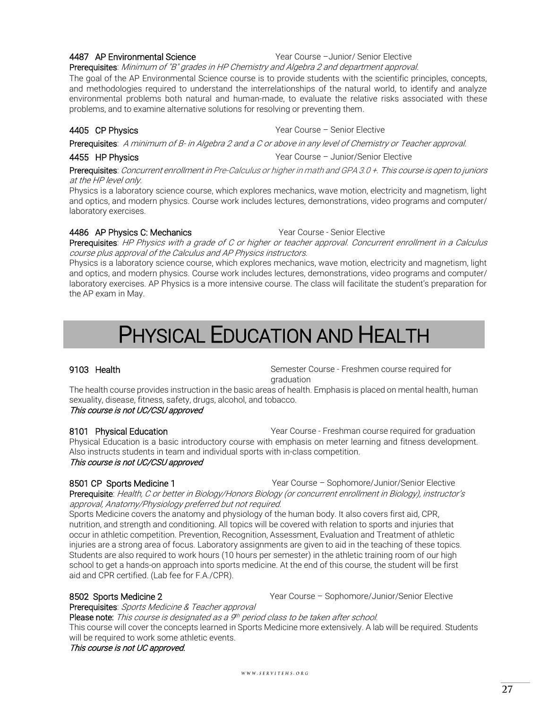**4487 AP Environmental Science** The Manus Year Course – Junior/ Senior Elective

#### Prerequisites: Minimum of "B" grades in HP Chemistry and Algebra 2 and department approval.

The goal of the AP Environmental Science course is to provide students with the scientific principles, concepts, and methodologies required to understand the interrelationships of the natural world, to identify and analyze environmental problems both natural and human-made, to evaluate the relative risks associated with these problems, and to examine alternative solutions for resolving or preventing them.

#### **4405 CP Physics** The Course – Senior Elective Vear Course – Senior Elective

Prerequisites: A minimum of B- in Algebra 2 and a C or above in any level of Chemistry or Teacher approval.

4455 HP Physics Year Course – Junior/Senior Elective

Prerequisites: Concurrent enrollment in Pre-Calculus or higher in math and GPA 3.0 +. This course is open to juniors at the HP level only.

Physics is a laboratory science course, which explores mechanics, wave motion, electricity and magnetism, light and optics, and modern physics. Course work includes lectures, demonstrations, video programs and computer/ laboratory exercises.

#### 4486 AP Physics C: Mechanics Year Course - Senior Elective

Prerequisites: HP Physics with a grade of C or higher or teacher approval. Concurrent enrollment in a Calculus course plus approval of the Calculus and AP Physics instructors.

Physics is a laboratory science course, which explores mechanics, wave motion, electricity and magnetism, light and optics, and modern physics. Course work includes lectures, demonstrations, video programs and computer/ laboratory exercises. AP Physics is a more intensive course. The class will facilitate the student's preparation for the AP exam in May.

## PHYSICAL EDUCATION AND HEALTH

<span id="page-26-0"></span>9103 Health Semester Course - Freshmen course required for graduation

The health course provides instruction in the basic areas of health. Emphasis is placed on mental health, human sexuality, disease, fitness, safety, drugs, alcohol, and tobacco.

### This course is not UC/CSU approved

8101 Physical Education **Property Account Property** Year Course - Freshman course required for graduation Physical Education is a basic introductory course with emphasis on meter learning and fitness development. Also instructs students in team and individual sports with in-class competition. This course is not UC/CSU approved

8501 CP Sports Medicine 1 The Sports of the Space of Sear Course – Sophomore/Junior/Senior Elective Prerequisite: Health, C or better in Biology/Honors Biology (or concurrent enrollment in Biology), instructor's approval, Anatomy/Physiology preferred but not required.

Sports Medicine covers the anatomy and physiology of the human body. It also covers first aid, CPR, nutrition, and strength and conditioning. All topics will be covered with relation to sports and injuries that occur in athletic competition. Prevention, Recognition, Assessment, Evaluation and Treatment of athletic injuries are a strong area of focus. Laboratory assignments are given to aid in the teaching of these topics. Students are also required to work hours (10 hours per semester) in the athletic training room of our high school to get a hands-on approach into sports medicine. At the end of this course, the student will be first aid and CPR certified. (Lab fee for F.A./CPR).

8502 Sports Medicine 2 **Year Course – Sophomore/Junior/Senior Elective** 

Prerequisites: Sports Medicine & Teacher approval

**Please note:** This course is designated as a <sup>gh</sup> period class to be taken after school.

This course will cover the concepts learned in Sports Medicine more extensively. A lab will be required. Students will be required to work some athletic events.

#### This course is not UC approved.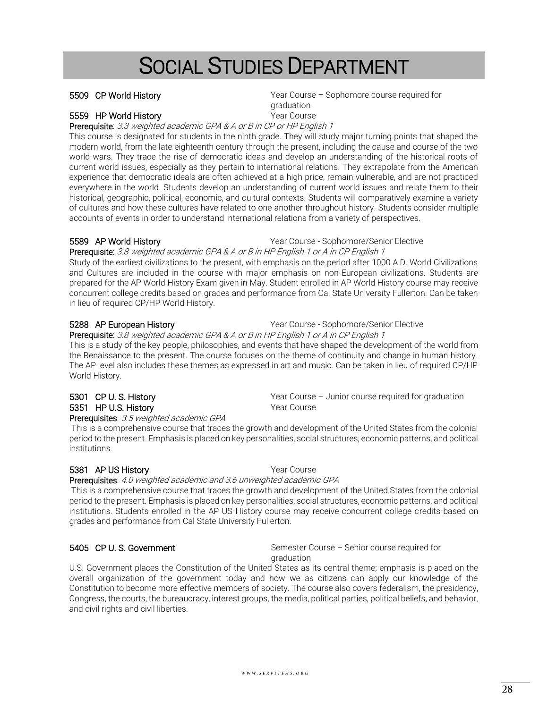### $WWW.SERVITEHS. ORG$

# SOCIAL STUDIES DEPARTMENT

### 5559 HP World History **With Course** Year Course

Prerequisite: 3.3 weighted academic GPA & A or B in CP or HP English 1 This course is designated for students in the ninth grade. They will study major turning points that shaped the modern world, from the late eighteenth century through the present, including the cause and course of the two world wars. They trace the rise of democratic ideas and develop an understanding of the historical roots of current world issues, especially as they pertain to international relations. They extrapolate from the American experience that democratic ideals are often achieved at a high price, remain vulnerable, and are not practiced everywhere in the world. Students develop an understanding of current world issues and relate them to their historical, geographic, political, economic, and cultural contexts. Students will comparatively examine a variety of cultures and how these cultures have related to one another throughout history. Students consider multiple accounts of events in order to understand international relations from a variety of perspectives.

#### Prerequisite: 3.8 weighted academic GPA & A or B in HP English 1 or A in CP English 1 Study of the earliest civilizations to the present, with emphasis on the period after 1000 A.D. World Civilizations and Cultures are included in the course with major emphasis on non-European civilizations. Students are prepared for the AP World History Exam given in May. Student enrolled in AP World History course may receive concurrent college credits based on grades and performance from Cal State University Fullerton. Can be taken in lieu of required CP/HP World History.

### 5288 AP European History Year Course - Sophomore/Senior Elective

#### Prerequisite: 3.8 weighted academic GPA & A or B in HP English 1 or A in CP English 1 This is a study of the key people, philosophies, and events that have shaped the development of the world from the Renaissance to the present. The course focuses on the theme of continuity and change in human history. The AP level also includes these themes as expressed in art and music. Can be taken in lieu of required CP/HP World History.

### 5301 CP U. S. History **Saudion** Year Course – Junior course required for graduation

### 5351 HP U.S. History **Way 19 State Street Sear Course**

#### Prerequisites: 3.5 weighted academic GPA

#### This is a comprehensive course that traces the growth and development of the United States from the colonial period to the present. Emphasis is placed on key personalities, social structures, economic patterns, and political institutions.

### 5381 AP US History **The Course State of the Course** Year Course

Prerequisites: 4.0 weighted academic and 3.6 unweighted academic GPA

This is a comprehensive course that traces the growth and development of the United States from the colonial period to the present. Emphasis is placed on key personalities, social structures, economic patterns, and political institutions. Students enrolled in the AP US History course may receive concurrent college credits based on grades and performance from Cal State University Fullerton.

5405 CP U. S. Government Semester Course – Senior course required for graduation

U.S. Government places the Constitution of the United States as its central theme; emphasis is placed on the overall organization of the government today and how we as citizens can apply our knowledge of the Constitution to become more effective members of society. The course also covers federalism, the presidency, Congress, the courts, the bureaucracy, interest groups, the media, political parties, political beliefs, and behavior, and civil rights and civil liberties.

### 5589 AP World History Year Course - Sophomore/Senior Elective

### <span id="page-27-0"></span>5509 CP World History Year Course – Sophomore course required for graduation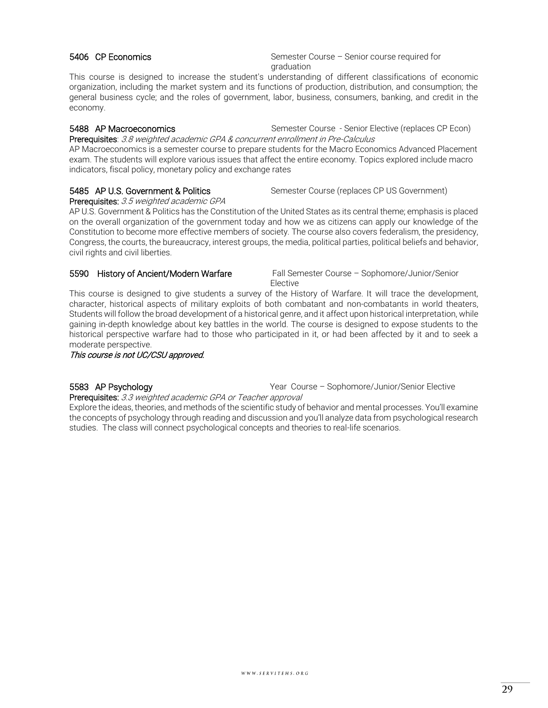29

### 5406 CP Economics Semester Course – Senior course required for

graduation This course is designed to increase the student's understanding of different classifications of economic organization, including the market system and its functions of production, distribution, and consumption; the general business cycle; and the roles of government, labor, business, consumers, banking, and credit in the economy.

5488 AP Macroeconomics Semester Course - Senior Elective (replaces CP Econ) Prerequisites: 3.8 weighted academic GPA & concurrent enrollment in Pre-Calculus AP Macroeconomics is a semester course to prepare students for the Macro Economics Advanced Placement

exam. The students will explore various issues that affect the entire economy. Topics explored include macro indicators, fiscal policy, monetary policy and exchange rates

## Prerequisites: 3.5 weighted academic GPA

5485 AP U.S. Government & Politics Semester Course (replaces CP US Government)

AP U.S. Government & Politics has the Constitution of the United States as its central theme; emphasis is placed on the overall organization of the government today and how we as citizens can apply our knowledge of the Constitution to become more effective members of society. The course also covers federalism, the presidency, Congress, the courts, the bureaucracy, interest groups, the media, political parties, political beliefs and behavior, civil rights and civil liberties.

#### 5590 History of Ancient/Modern Warfare Fall Semester Course – Sophomore/Junior/Senior

Elective

This course is designed to give students a survey of the History of Warfare. It will trace the development, character, historical aspects of military exploits of both combatant and non-combatants in world theaters, Students will follow the broad development of a historical genre, and it affect upon historical interpretation, while gaining in-depth knowledge about key battles in the world. The course is designed to expose students to the historical perspective warfare had to those who participated in it, or had been affected by it and to seek a moderate perspective.

This course is not UC/CSU approved.

### 5583 AP Psychology Year Course – Sophomore/Junior/Senior Elective

Prerequisites: 3.3 weighted academic GPA or Teacher approval

Explore the ideas, theories, and methods of the scientific study of behavior and mental processes. You'll examine the concepts of psychology through reading and discussion and you'll analyze data from psychological research studies. The class will connect psychological concepts and theories to real-life scenarios.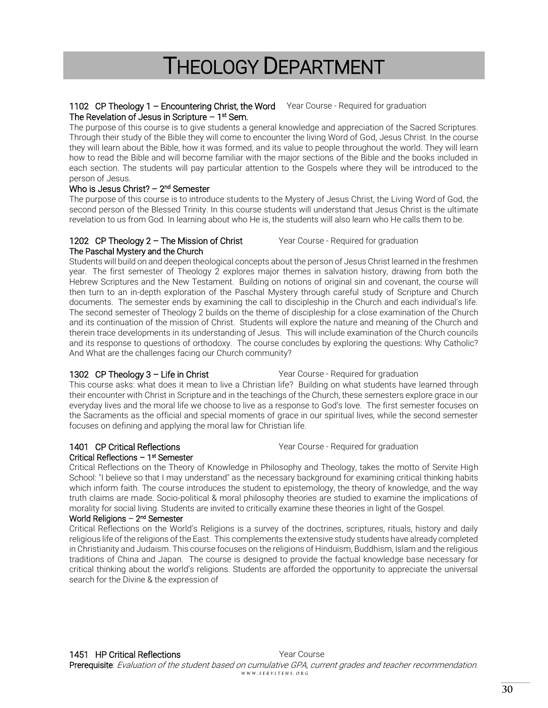## THEOLOGY DEPARTMENT

### <span id="page-29-0"></span>1102 CP Theology 1 - Encountering Christ, the Word Year Course - Required for graduation The Revelation of Jesus in Scripture – 1<sup>st</sup> Sem.

The purpose of this course is to give students a general knowledge and appreciation of the Sacred Scriptures. Through their study of the Bible they will come to encounter the living Word of God, Jesus Christ. In the course they will learn about the Bible, how it was formed, and its value to people throughout the world. They will learn how to read the Bible and will become familiar with the major sections of the Bible and the books included in each section. The students will pay particular attention to the Gospels where they will be introduced to the person of Jesus.

### Who is Jesus Christ? – 2<sup>nd</sup> Semester

The purpose of this course is to introduce students to the Mystery of Jesus Christ, the Living Word of God, the second person of the Blessed Trinity. In this course students will understand that Jesus Christ is the ultimate revelation to us from God. In learning about who He is, the students will also learn who He calls them to be.

#### 1202 CP Theology 2 - The Mission of Christ Year Course - Required for graduation The Paschal Mystery and the Church

Students will build on and deepen theological concepts about the person of Jesus Christ learned in the freshmen year. The first semester of Theology 2 explores major themes in salvation history, drawing from both the Hebrew Scriptures and the New Testament. Building on notions of original sin and covenant, the course will then turn to an in-depth exploration of the Paschal Mystery through careful study of Scripture and Church documents. The semester ends by examining the call to discipleship in the Church and each individual's life. The second semester of Theology 2 builds on the theme of discipleship for a close examination of the Church and its continuation of the mission of Christ. Students will explore the nature and meaning of the Church and therein trace developments in its understanding of Jesus. This will include examination of the Church councils and its response to questions of orthodoxy. The course concludes by exploring the questions: Why Catholic? And What are the challenges facing our Church community?

### 1302 CP Theology 3 - Life in Christ Year Course - Required for graduation

This course asks: what does it mean to live a Christian life? Building on what students have learned through their encounter with Christ in Scripture and in the teachings of the Church, these semesters explore grace in our everyday lives and the moral life we choose to live as a response to God's love. The first semester focuses on the Sacraments as the official and special moments of grace in our spiritual lives, while the second semester focuses on defining and applying the moral law for Christian life.

## Critical Reflections – 1<sup>st</sup> Semester

Critical Reflections on the Theory of Knowledge in Philosophy and Theology, takes the motto of Servite High School: "I believe so that I may understand" as the necessary background for examining critical thinking habits which inform faith. The course introduces the student to epistemology, the theory of knowledge, and the way truth claims are made. Socio-political & moral philosophy theories are studied to examine the implications of morality for social living. Students are invited to critically examine these theories in light of the Gospel.

### World Religions – 2<sup>nd</sup> Semester

Critical Reflections on the World's Religions is a survey of the doctrines, scriptures, rituals, history and daily religious life of the religions of the East. This complements the extensive study students have already completed in Christianity and Judaism. This course focuses on the religions of Hinduism, Buddhism, Islam and the religious traditions of China and Japan. The course is designed to provide the factual knowledge base necessary for critical thinking about the world's religions. Students are afforded the opportunity to appreciate the universal search for the Divine & the expression of

### 1401 CP Critical Reflections The Course - Required for graduation Press, 2016